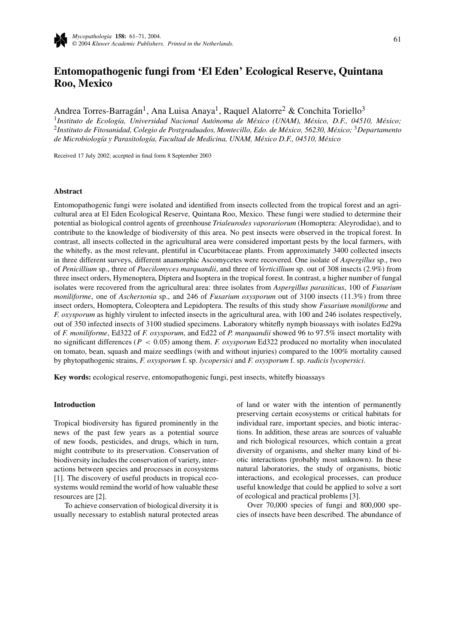# **Entomopathogenic fungi from 'El Eden' Ecological Reserve, Quintana Roo, Mexico**

Andrea Torres-Barragán<sup>1</sup>, Ana Luisa Anaya<sup>1</sup>, Raquel Alatorre<sup>2</sup> & Conchita Toriello<sup>3</sup>

<sup>1</sup>Instituto de Ecología, Universidad Nacional Autónoma de México (UNAM), México, D.F., 04510, México; <sup>2</sup>*Instituto de Fitosanidad, Colegio de Postgraduados, Montecillo, Edo. de M´exico, 56230, M´exico;* <sup>3</sup>*Departamento de Microbiolog´ıa y Parasitolog´ıa, Facultad de Medicina, UNAM, M´exico D.F., 04510, M´exico*

Received 17 July 2002; accepted in final form 8 September 2003

#### **Abstract**

Entomopathogenic fungi were isolated and identified from insects collected from the tropical forest and an agricultural area at El Eden Ecological Reserve, Quintana Roo, Mexico. These fungi were studied to determine their potential as biological control agents of greenhouse *Trialeurodes vaporariorum* (Homoptera: Aleyrodidae), and to contribute to the knowledge of biodiversity of this area. No pest insects were observed in the tropical forest. In contrast, all insects collected in the agricultural area were considered important pests by the local farmers, with the whitefly, as the most relevant, plentiful in Cucurbitaceae plants. From approximately 3400 collected insects in three different surveys, different anamorphic Ascomycetes were recovered. One isolate of *Aspergillus* sp., two of *Penicillium* sp., three of *Paecilomyces marquandii*, and three of *Verticillium* sp. out of 308 insects (2.9%) from three insect orders, Hymenoptera, Diptera and Isoptera in the tropical forest. In contrast, a higher number of fungal isolates were recovered from the agricultural area: three isolates from *Aspergillus parasiticus*, 100 of *Fusarium moniliforme*, one of *Aschersonia* sp., and 246 of *Fusarium oxysporum* out of 3100 insects (11.3%) from three insect orders, Homoptera, Coleoptera and Lepidoptera. The results of this study show *Fusarium moniliforme* and *F. oxysporum* as highly virulent to infected insects in the agricultural area, with 100 and 246 isolates respectively, out of 350 infected insects of 3100 studied specimens. Laboratory whitefly nymph bioassays with isolates Ed29a of *F. moniliforme*, Ed322 of *F. oxysporum*, and Ed22 of *P. marquandii* showed 96 to 97.5% insect mortality with no significant differences (*P <* 0*.*05) among them. *F. oxysporum* Ed322 produced no mortality when inoculated on tomato, bean, squash and maize seedlings (with and without injuries) compared to the 100% mortality caused by phytopathogenic strains, *F. oxysporum* f. sp. *lycopersici* and *F. oxysporum* f. sp. *radicis lycopersici*.

**Key words:** ecological reserve, entomopathogenic fungi, pest insects, whitefly bioassays

#### **Introduction**

Tropical biodiversity has figured prominently in the news of the past few years as a potential source of new foods, pesticides, and drugs, which in turn, might contribute to its preservation. Conservation of biodiversity includes the conservation of variety, interactions between species and processes in ecosystems [1]. The discovery of useful products in tropical ecosystems would remind the world of how valuable these resources are [2].

To achieve conservation of biological diversity it is usually necessary to establish natural protected areas of land or water with the intention of permanently preserving certain ecosystems or critical habitats for individual rare, important species, and biotic interactions. In addition, these areas are sources of valuable and rich biological resources, which contain a great diversity of organisms, and shelter many kind of biotic interactions (probably most unknown). In these natural laboratories, the study of organisms, biotic interactions, and ecological processes, can produce useful knowledge that could be applied to solve a sort of ecological and practical problems [3].

Over 70,000 species of fungi and 800,000 species of insects have been described. The abundance of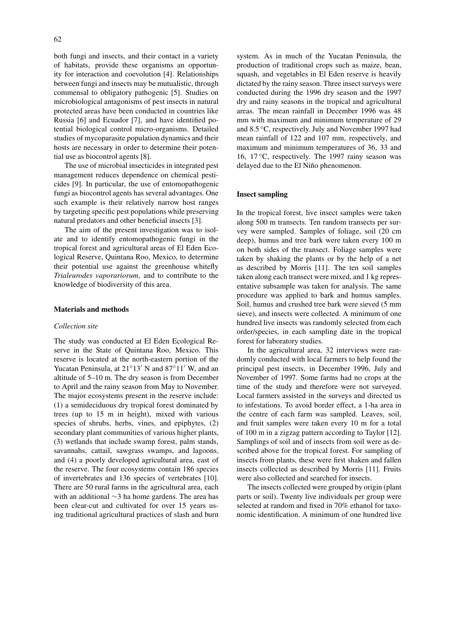both fungi and insects, and their contact in a variety of habitats, provide these organisms an opportunity for interaction and coevolution [4]. Relationships between fungi and insects may be mutualistic, through commensal to obligatory pathogenic [5]. Studies on microbiological antagonisms of pest insects in natural protected areas have been conducted in countries like Russia [6] and Ecuador [7], and have identified potential biological control micro-organisms. Detailed studies of mycoparasite population dynamics and their hosts are necessary in order to determine their potential use as biocontrol agents [8].

The use of microbial insecticides in integrated pest management reduces dependence on chemical pesticides [9]. In particular, the use of entomopathogenic fungi as biocontrol agents has several advantages. One such example is their relatively narrow host ranges by targeting specific pest populations while preserving natural predators and other beneficial insects [3].

The aim of the present investigation was to isolate and to identify entomopathogenic fungi in the tropical forest and agricultural areas of El Eden Ecological Reserve, Quintana Roo, Mexico, to determine their potential use against the greenhouse whitefly *Trialeurodes vaporariorum*, and to contribute to the knowledge of biodiversity of this area.

#### **Materials and methods**

#### *Collection site*

The study was conducted at El Eden Ecological Reserve in the State of Quintana Roo, Mexico. This reserve is located at the north-eastern portion of the Yucatan Peninsula, at  $21^{\circ}13'$  N and  $87^{\circ}11'$  W, and an altitude of 5–10 m. The dry season is from December to April and the rainy season from May to November. The major ecosystems present in the reserve include: (1) a semideciduous dry tropical forest dominated by trees (up to 15 m in height), mixed with various species of shrubs, herbs, vines, and epiphytes, (2) secondary plant communities of various higher plants, (3) wetlands that include swamp forest, palm stands, savannahs, cattail, sawgrass swamps, and lagoons, and (4) a poorly developed agricultural area, east of the reserve. The four ecosystems contain 186 species of invertebrates and 136 species of vertebrates [10]. There are 50 rural farms in the agricultural area, each with an additional ∼3 ha home gardens. The area has been clear-cut and cultivated for over 15 years using traditional agricultural practices of slash and burn system. As in much of the Yucatan Peninsula, the production of traditional crops such as maize, bean, squash, and vegetables in El Eden reserve is heavily dictated by the rainy season. Three insect surveys were conducted during the 1996 dry season and the 1997 dry and rainy seasons in the tropical and agricultural areas. The mean rainfall in December 1996 was 48 mm with maximum and minimum temperature of 29 and 8.5 ◦C, respectively. July and November 1997 had mean rainfall of 122 and 107 mm, respectively, and maximum and minimum temperatures of 36, 33 and 16, 17 $\degree$ C, respectively. The 1997 rainy season was delayed due to the El Niño phenomenon.

#### **Insect sampling**

In the tropical forest, live insect samples were taken along 500 m transects. Ten random transects per survey were sampled. Samples of foliage, soil (20 cm deep), humus and tree bark were taken every 100 m on both sides of the transect. Foliage samples were taken by shaking the plants or by the help of a net as described by Morris [11]. The ten soil samples taken along each transect were mixed, and 1 kg representative subsample was taken for analysis. The same procedure was applied to bark and humus samples. Soil, humus and crushed tree bark were sieved (5 mm sieve), and insects were collected. A minimum of one hundred live insects was randomly selected from each order/species, in each sampling date in the tropical forest for laboratory studies.

In the agricultural area, 32 interviews were randomly conducted with local farmers to help found the principal pest insects, in December 1996, July and November of 1997. Some farms had no crops at the time of the study and therefore were not surveyed. Local farmers assisted in the surveys and directed us to infestations. To avoid border effect, a 1-ha area in the centre of each farm was sampled. Leaves, soil, and fruit samples were taken every 10 m for a total of 100 m in a zigzag pattern according to Taylor [12]. Samplings of soil and of insects from soil were as described above for the tropical forest. For sampling of insects from plants, these were first shaken and fallen insects collected as described by Morris [11]. Fruits were also collected and searched for insects.

The insects collected were grouped by origin (plant parts or soil). Twenty live individuals per group were selected at random and fixed in 70% ethanol for taxonomic identification. A minimum of one hundred live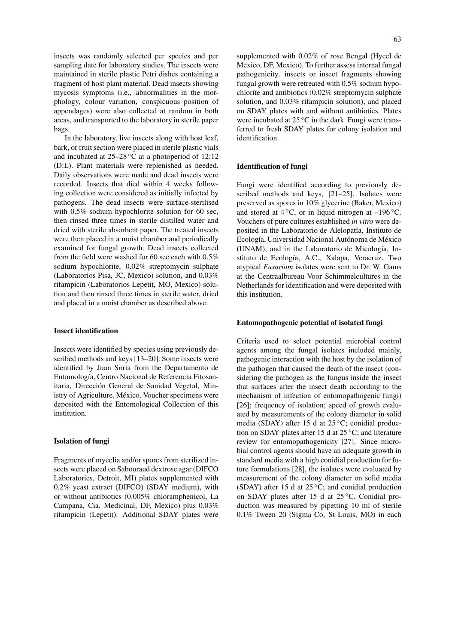insects was randomly selected per species and per sampling date for laboratory studies. The insects were maintained in sterile plastic Petri dishes containing a fragment of host plant material. Dead insects showing mycosis symptoms (i.e., abnormalities in the morphology, colour variation, conspicuous position of appendages) were also collected at random in both areas, and transported to the laboratory in sterile paper bags.

In the laboratory, live insects along with host leaf, bark, or fruit section were placed in sterile plastic vials and incubated at  $25-28\degree C$  at a photoperiod of 12:12 (D:L). Plant materials were replenished as needed. Daily observations were made and dead insects were recorded. Insects that died within 4 weeks following collection were considered as initially infected by pathogens. The dead insects were surface-sterilised with  $0.5\%$  sodium hypochlorite solution for 60 sec, then rinsed three times in sterile distilled water and dried with sterile absorbent paper. The treated insects were then placed in a moist chamber and periodically examined for fungal growth. Dead insects collected from the field were washed for 60 sec each with 0.5% sodium hypochlorite, 0.02% streptomycin sulphate (Laboratorios Pisa, JC, Mexico) solution, and 0.03% rifampicin (Laboratorios Lepetit, MO, Mexico) solution and then rinsed three times in sterile water, dried and placed in a moist chamber as described above.

#### **Insect identification**

Insects were identified by species using previously described methods and keys [13–20]. Some insects were identified by Juan Soria from the Departamento de Entomología, Centro Nacional de Referencia Fitosanitaria, Dirección General de Sanidad Vegetal, Ministry of Agriculture, México. Voucher specimens were deposited with the Entomological Collection of this institution.

#### **Isolation of fungi**

Fragments of mycelia and/or spores from sterilized insects were placed on Sabouraud dextrose agar (DIFCO Laboratories, Detroit, MI) plates supplemented with 0.2% yeast extract (DIFCO) (SDAY medium), with or without antibiotics (0.005% chloramphenicol, La Campana, Cia. Medicinal, DF, Mexico) plus 0.03% rifampicin (Lepetit). Additional SDAY plates were supplemented with 0.02% of rose Bengal (Hycel de Mexico, DF, Mexico). To further assess internal fungal pathogenicity, insects or insect fragments showing fungal growth were retreated with 0.5% sodium hypochlorite and antibiotics (0.02% streptomycin sulphate solution, and 0.03% rifampicin solution), and placed on SDAY plates with and without antibiotics. Plates were incubated at 25 °C in the dark. Fungi were transferred to fresh SDAY plates for colony isolation and identification.

#### **Identification of fungi**

Fungi were identified according to previously described methods and keys, [21–25]. Isolates were preserved as spores in 10% glycerine (Baker, Mexico) and stored at  $4\,^{\circ}\text{C}$ , or in liquid nitrogen at  $-196\,^{\circ}\text{C}$ . Vouchers of pure cultures established *in vitro* were deposited in the Laboratorio de Alelopatía, Instituto de Ecología, Universidad Nacional Autónoma de México (UNAM), and in the Laboratorio de Micología, Instituto de Ecología, A.C., Xalapa, Veracruz. Two atypical *Fusarium* isolates were sent to Dr. W. Gams at the Centraalbureau Voor Schimmelcultures in the Netherlands for identification and were deposited with this institution.

#### **Entomopathogenic potential of isolated fungi**

Criteria used to select potential microbial control agents among the fungal isolates included mainly, pathogenic interaction with the host by the isolation of the pathogen that caused the death of the insect (considering the pathogen as the fungus inside the insect that surfaces after the insect death according to the mechanism of infection of entomopathogenic fungi) [26]; frequency of isolation; speed of growth evaluated by measurements of the colony diameter in solid media (SDAY) after 15 d at  $25^{\circ}$ C; conidial production on SDAY plates after 15 d at  $25^{\circ}$ C; and literature review for entomopathogenicity [27]. Since microbial control agents should have an adequate growth in standard media with a high conidial production for future formulations [28], the isolates were evaluated by measurement of the colony diameter on solid media (SDAY) after 15 d at  $25^{\circ}$ C; and conidial production on SDAY plates after 15 d at 25 ◦C. Conidial production was measured by pipetting 10 ml of sterile 0.1% Tween 20 (Sigma Co, St Louis, MO) in each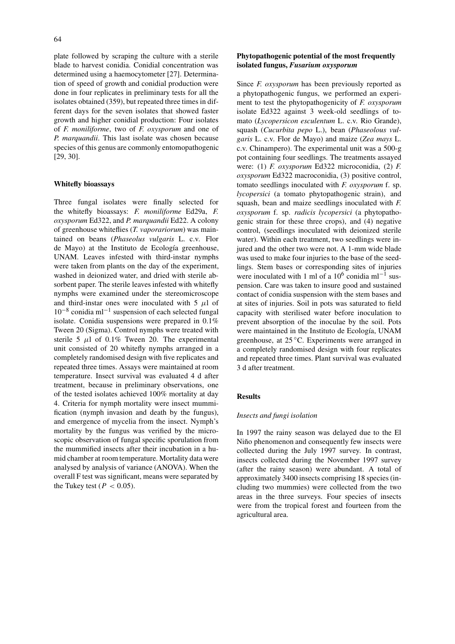plate followed by scraping the culture with a sterile blade to harvest conidia. Conidial concentration was determined using a haemocytometer [27]. Determination of speed of growth and conidial production were done in four replicates in preliminary tests for all the isolates obtained (359), but repeated three times in different days for the seven isolates that showed faster growth and higher conidial production: Four isolates of *F. moniliforme*, two of *F. oxysporum* and one of *P. marquandii*. This last isolate was chosen because species of this genus are commonly entomopathogenic [29, 30].

### **Whitefly bioassays**

Three fungal isolates were finally selected for the whitefly bioassays: *F. moniliforme* Ed29a, *F. oxysporum* Ed322, and *P. marquandii* Ed22. A colony of greenhouse whiteflies (*T. vaporariorum*) was maintained on beans (*Phaseolus vulgaris* L. c.v. Flor de Mayo) at the Instituto de Ecología greenhouse, UNAM. Leaves infested with third-instar nymphs were taken from plants on the day of the experiment, washed in deionized water, and dried with sterile absorbent paper. The sterile leaves infested with whitefly nymphs were examined under the stereomicroscope and third-instar ones were inoculated with  $5 \mu l$  of  $10^{-8}$  conidia ml<sup>-1</sup> suspension of each selected fungal isolate. Conidia suspensions were prepared in 0.1% Tween 20 (Sigma). Control nymphs were treated with sterile 5  $\mu$ l of 0.1% Tween 20. The experimental unit consisted of 20 whitefly nymphs arranged in a completely randomised design with five replicates and repeated three times. Assays were maintained at room temperature. Insect survival was evaluated 4 d after treatment, because in preliminary observations, one of the tested isolates achieved 100% mortality at day 4. Criteria for nymph mortality were insect mummification (nymph invasion and death by the fungus), and emergence of mycelia from the insect. Nymph's mortality by the fungus was verified by the microscopic observation of fungal specific sporulation from the mummified insects after their incubation in a humid chamber at room temperature. Mortality data were analysed by analysis of variance (ANOVA). When the overall F test was significant, means were separated by the Tukey test ( $P < 0.05$ ).

## **Phytopathogenic potential of the most frequently isolated fungus,** *Fusarium oxysporum*

Since *F. oxysporum* has been previously reported as a phytopathogenic fungus, we performed an experiment to test the phytopathogenicity of *F. oxysporum* isolate Ed322 against 3 week-old seedlings of tomato (*Lycopersicon esculentum* L. c.v. Rio Grande), squash (*Cucurbita pepo* L.), bean (*Phaseolous vulgaris* L. c.v. Flor de Mayo) and maize (*Zea mays* L. c.v. Chinampero). The experimental unit was a 500-g pot containing four seedlings. The treatments assayed were: (1) *F. oxysporum* Ed322 microconidia, (2) *F. oxysporum* Ed322 macroconidia, (3) positive control, tomato seedlings inoculated with *F. oxysporum* f. sp. *lycopersici* (a tomato phytopathogenic strain), and squash, bean and maize seedlings inoculated with *F. oxysporum* f. sp. *radicis lycopersici* (a phytopathogenic strain for these three crops), and (4) negative control, (seedlings inoculated with deionized sterile water). Within each treatment, two seedlings were injured and the other two were not. A 1-mm wide blade was used to make four injuries to the base of the seedlings. Stem bases or corresponding sites of injuries were inoculated with 1 ml of a  $10^6$  conidia ml<sup>-1</sup> suspension. Care was taken to insure good and sustained contact of conidia suspension with the stem bases and at sites of injuries. Soil in pots was saturated to field capacity with sterilised water before inoculation to prevent absorption of the inoculae by the soil. Pots were maintained in the Instituto de Ecología, UNAM greenhouse, at 25 ◦C. Experiments were arranged in a completely randomised design with four replicates and repeated three times. Plant survival was evaluated 3 d after treatment.

#### **Results**

#### *Insects and fungi isolation*

In 1997 the rainy season was delayed due to the El Niño phenomenon and consequently few insects were collected during the July 1997 survey. In contrast, insects collected during the November 1997 survey (after the rainy season) were abundant. A total of approximately 3400 insects comprising 18 species (including two mummies) were collected from the two areas in the three surveys. Four species of insects were from the tropical forest and fourteen from the agricultural area.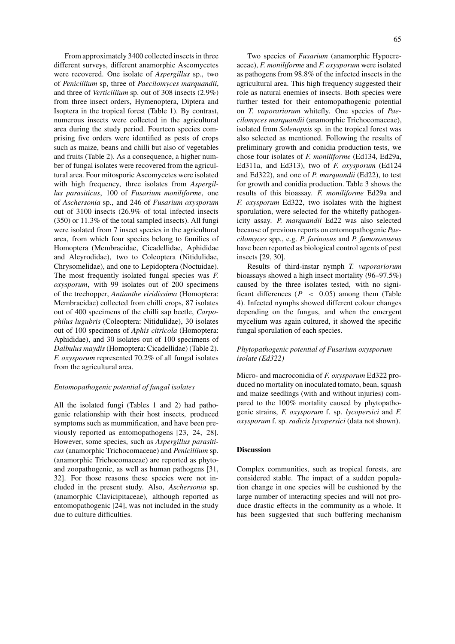From approximately 3400 collected insects in three different surveys, different anamorphic Ascomycetes were recovered. One isolate of *Aspergillus* sp., two of *Penicillium* sp, three of *Paecilomyces marquandii*, and three of *Verticillium* sp. out of 308 insects (2.9%) from three insect orders, Hymenoptera, Diptera and Isoptera in the tropical forest (Table 1). By contrast, numerous insects were collected in the agricultural area during the study period. Fourteen species comprising five orders were identified as pests of crops such as maize, beans and chilli but also of vegetables and fruits (Table 2). As a consequence, a higher number of fungal isolates were recovered from the agricultural area. Four mitosporic Ascomycetes were isolated with high frequency, three isolates from *Aspergillus parasiticus*, 100 of *Fusarium moniliforme*, one of *Aschersonia* sp., and 246 of *Fusarium oxysporum* out of 3100 insects (26.9% of total infected insects (350) or 11.3% of the total sampled insects). All fungi were isolated from 7 insect species in the agricultural area, from which four species belong to families of Homoptera (Membracidae, Cicadellidae, Aphididae and Aleyrodidae), two to Coleoptera (Nitidulidae, Chrysomelidae), and one to Lepidoptera (Noctuidae). The most frequently isolated fungal species was *F. oxysporum*, with 99 isolates out of 200 specimens of the treehopper, *Antianthe viridissima* (Homoptera: Membracidae) collected from chilli crops, 87 isolates out of 400 specimens of the chilli sap beetle, *Carpophilus lugubris* (Coleoptera: Nitidulidae), 30 isolates out of 100 specimens of *Aphis citricola* (Homoptera: Aphididae), and 30 isolates out of 100 specimens of *Dalbulus maydis*(Homoptera: Cicadellidae) (Table 2). *F. oxysporum* represented 70.2% of all fungal isolates from the agricultural area.

#### *Entomopathogenic potential of fungal isolates*

All the isolated fungi (Tables 1 and 2) had pathogenic relationship with their host insects, produced symptoms such as mummification, and have been previously reported as entomopathogens [23, 24, 28]. However, some species, such as *Aspergillus parasiticus* (anamorphic Trichocomaceae) and *Penicillium* sp. (anamorphic Trichocomaceae) are reported as phytoand zoopathogenic, as well as human pathogens [31, 32]. For those reasons these species were not included in the present study. Also, *Aschersonia* sp. (anamorphic Clavicipitaceae), although reported as entomopathogenic [24], was not included in the study due to culture difficulties.

Two species of *Fusarium* (anamorphic Hypocreaceae), *F. moniliforme* and *F. oxysporum* were isolated as pathogens from 98.8% of the infected insects in the agricultural area. This high frequency suggested their role as natural enemies of insects. Both species were further tested for their entomopathogenic potential on *T. vaporariorum* whitefly. One species of *Paecilomyces marquandii* (anamorphic Trichocomaceae), isolated from *Solenopsis* sp. in the tropical forest was also selected as mentioned. Following the results of preliminary growth and conidia production tests, we chose four isolates of *F. moniliforme* (Ed134, Ed29a, Ed311a, and Ed313), two of *F. oxysporum* (Ed124 and Ed322), and one of *P. marquandii* (Ed22), to test for growth and conidia production. Table 3 shows the results of this bioassay. *F. moniliforme* Ed29a and *F. oxysporum* Ed322, two isolates with the highest sporulation, were selected for the whitefly pathogenicity assay. *P. marquandii* Ed22 was also selected because of previous reports on entomopathogenic*Paecilomyces* spp., e.g. *P. farinosus* and *P. fumosoroseus* have been reported as biological control agents of pest insects [29, 30].

Results of third-instar nymph *T. vaporariorum* bioassays showed a high insect mortality (96–97.5%) caused by the three isolates tested, with no significant differences ( $P \leq 0.05$ ) among them (Table 4). Infected nymphs showed different colour changes depending on the fungus, and when the emergent mycelium was again cultured, it showed the specific fungal sporulation of each species.

## *Phytopathogenic potential of Fusarium oxysporum isolate (Ed322)*

Micro- and macroconidia of *F. oxysporum* Ed322 produced no mortality on inoculated tomato, bean, squash and maize seedlings (with and without injuries) compared to the 100% mortality caused by phytopathogenic strains, *F. oxysporum* f. sp. *lycopersici* and *F. oxysporum* f. sp. *radicis lycopersici* (data not shown).

#### **Discussion**

Complex communities, such as tropical forests, are considered stable. The impact of a sudden population change in one species will be cushioned by the large number of interacting species and will not produce drastic effects in the community as a whole. It has been suggested that such buffering mechanism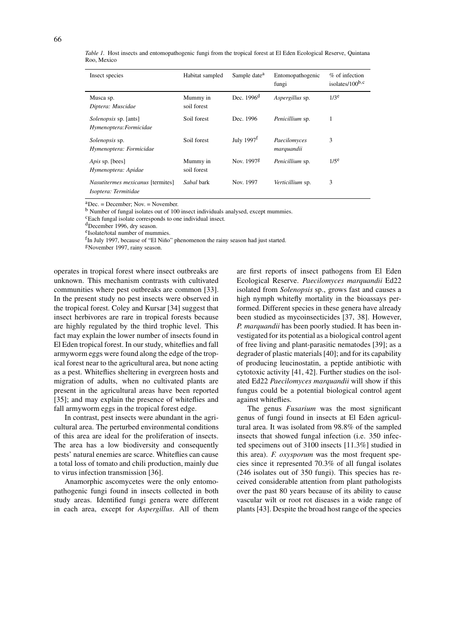| Insect species                                            | Habitat sampled         | Sample date <sup>a</sup> | Entomopathogenic<br>fungi  | % of infection<br>isolates/ $100^{b,c}$ |
|-----------------------------------------------------------|-------------------------|--------------------------|----------------------------|-----------------------------------------|
| Musca sp.<br>Diptera: Muscidae                            | Mummy in<br>soil forest | Dec. $1996d$             | Aspergillus sp.            | $1/3^e$                                 |
| <i>Solenopsis</i> sp. [ants]<br>Hymenoptera: Formicidae   | Soil forest             | Dec. 1996                | Penicillium sp.            | 1                                       |
| <i>Solenopsis</i> sp.<br>Hymenoptera: Formicidae          | Soil forest             | July $1997f$             | Paecilomyces<br>marquandii | 3                                       |
| Apis sp. [bees]<br>Hymenoptera: Apidae                    | Mummy in<br>soil forest | Nov. 1997 <sup>g</sup>   | Penicillium sp.            | $1/5^e$                                 |
| Nasutitermes mexicanus [termites]<br>Isoptera: Termitidae | Sabal bark              | Nov. 1997                | Verticillium sp.           | 3                                       |

*Table 1.* Host insects and entomopathogenic fungi from the tropical forest at El Eden Ecological Reserve, Quintana Roo, Mexico

 $a$ Dec. = December; Nov. = November.

<sup>b</sup> Number of fungal isolates out of 100 insect individuals analysed, except mummies.

cEach fungal isolate corresponds to one individual insect.

dDecember 1996, dry season.

eIsolate/total number of mummies.

<sup>f</sup>In July 1997, because of "El Niño" phenomenon the rainy season had just started.

gNovember 1997, rainy season.

operates in tropical forest where insect outbreaks are unknown. This mechanism contrasts with cultivated communities where pest outbreaks are common [33]. In the present study no pest insects were observed in the tropical forest. Coley and Kursar [34] suggest that insect herbivores are rare in tropical forests because are highly regulated by the third trophic level. This fact may explain the lower number of insects found in El Eden tropical forest. In our study, whiteflies and fall armyworm eggs were found along the edge of the tropical forest near to the agricultural area, but none acting as a pest. Whiteflies sheltering in evergreen hosts and migration of adults, when no cultivated plants are present in the agricultural areas have been reported [35]; and may explain the presence of whiteflies and fall armyworm eggs in the tropical forest edge.

In contrast, pest insects were abundant in the agricultural area. The perturbed environmental conditions of this area are ideal for the proliferation of insects. The area has a low biodiversity and consequently pests' natural enemies are scarce. Whiteflies can cause a total loss of tomato and chili production, mainly due to virus infection transmission [36].

Anamorphic ascomycetes were the only entomopathogenic fungi found in insects collected in both study areas. Identified fungi genera were different in each area, except for *Aspergillus*. All of them are first reports of insect pathogens from El Eden Ecological Reserve. *Paecilomyces marquandii* Ed22 isolated from *Solenopsis* sp., grows fast and causes a high nymph whitefly mortality in the bioassays performed. Different species in these genera have already been studied as mycoinsecticides [37, 38]. However, *P. marquandii* has been poorly studied. It has been investigated for its potential as a biological control agent of free living and plant-parasitic nematodes [39]; as a degrader of plastic materials [40]; and for its capability of producing leucinostatin, a peptide antibiotic with cytotoxic activity [41, 42]. Further studies on the isolated Ed22 *Paecilomyces marquandii* will show if this fungus could be a potential biological control agent against whiteflies.

The genus *Fusarium* was the most significant genus of fungi found in insects at El Eden agricultural area. It was isolated from 98.8% of the sampled insects that showed fungal infection (i.e. 350 infected specimens out of 3100 insects [11.3%] studied in this area). *F. oxysporum* was the most frequent species since it represented 70.3% of all fungal isolates (246 isolates out of 350 fungi). This species has received considerable attention from plant pathologists over the past 80 years because of its ability to cause vascular wilt or root rot diseases in a wide range of plants [43]. Despite the broad host range of the species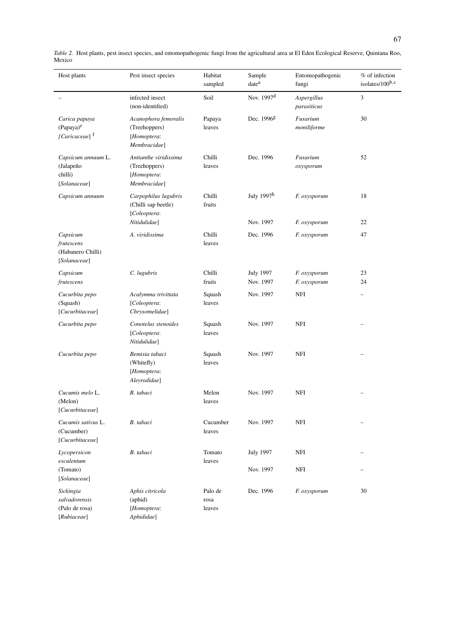| Host plants                                                         | Pest insect species                                                         | Habitat<br>sampled        | Sample<br>date <sup>a</sup>   | Entomopathogenic<br>fungi    | % of infection<br>isolates/100b,c |
|---------------------------------------------------------------------|-----------------------------------------------------------------------------|---------------------------|-------------------------------|------------------------------|-----------------------------------|
|                                                                     | infected insect<br>(non-identified)                                         | Soil                      | Nov. 1997 <sup>d</sup>        | Aspergillus<br>parasiticus   | $\overline{3}$                    |
| Carica papaya<br>(Papaya) <sup>e</sup><br>[Caricaceae] <sup>f</sup> | Acanophora femoralis<br>(Treehoppers)<br>[Homoptera:<br>Membracidae]        | Papaya<br>leaves          | Dec. 1996 <sup>g</sup>        | Fusarium<br>moniliforme      | 30                                |
| Capsicum annuum L.<br>(Jalapeño<br>chilli)<br>[Solanaceae]          | Antianthe viridissima<br>(Treehoppers)<br>[Homoptera:<br>Membracidae]       | Chilli<br>leaves          | Dec. 1996                     | Fusarium<br>oxysporum        | 52                                |
| Capsicum annuum                                                     | Carpophilus lugubris<br>(Chilli sap beetle)<br>[Coleoptera:<br>Nitidulidae] | Chilli<br>fruits          | July 1997h<br>Nov. 1997       | F. oxysporum<br>F. oxysporum | 18<br>22                          |
| Capsicum<br>frutescens<br>(Habanero Chilli)<br>[Solanaceae]         | A. viridissima                                                              | Chilli<br>leaves          | Dec. 1996                     | F. oxysporum                 | 47                                |
| Capsicum<br>frutescens                                              | C. lugubris                                                                 | Chilli<br>fruits          | <b>July 1997</b><br>Nov. 1997 | F. oxysporum<br>F. oxysporum | 23<br>24                          |
| Cucurbita pepo<br>(Squash)<br>[Cucurbitaceae]                       | Acalymma trivittata<br>[Coleoptera:<br>Chrysomelidae]                       | Squash<br>leaves          | Nov. 1997                     | NFI                          |                                   |
| Cucurbita pepo                                                      | Conotelus stenoides<br>[Coleoptera:<br>Nitidulidae]                         | Squash<br>leaves          | Nov. 1997                     | NFI                          |                                   |
| Cucurbita pepo                                                      | Bemisia tabaci<br>(Whitefly)<br>[Homoptera:<br>Aleyrodidae]                 | Squash<br>leaves          | Nov. 1997                     | NFI                          |                                   |
| Cucumis melo L.<br>(Melon)<br>[Cucurbitaceae]                       | B. tabaci                                                                   | Melon<br>leaves           | Nov. 1997                     | NFI                          |                                   |
| Cucumis sativus L.<br>(Cucumber)<br>[Cucurbitaceae]                 | B. tabaci                                                                   | Cucumber<br>leaves        | Nov. 1997                     | NFI                          |                                   |
| Lycopersicon<br>esculentum<br>(Tomato)<br>[Solanaceae]              | B. tabaci                                                                   | Tomato<br>leaves          | <b>July 1997</b><br>Nov. 1997 | NFI<br>NFI                   |                                   |
| Sickingia<br>salvadorensis<br>(Palo de rosa)<br>[Rubiaceae]         | Aphis citricola<br>(aphid)<br>[Homoptera:<br>Aphididae]                     | Palo de<br>rosa<br>leaves | Dec. 1996                     | F. oxysporum                 | 30                                |

*Table 2.* Host plants, pest insect species, and entomopathogenic fungi from the agricultural area at El Eden Ecological Reserve, Quintana Roo, Mexico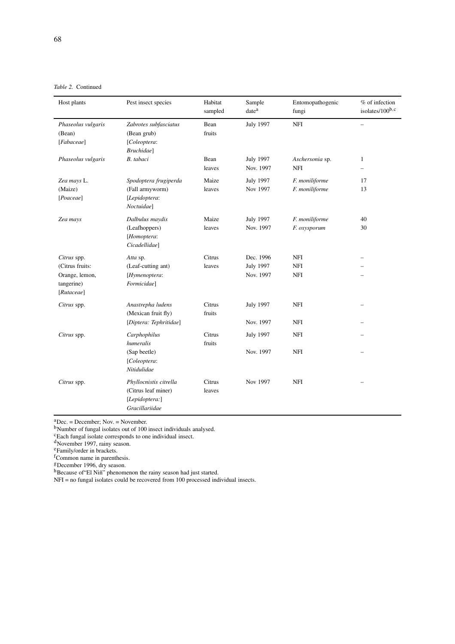| Host plants                                                                  | Pest insect species                                                               | Habitat<br>sampled | Sample<br>date <sup>a</sup>                | Entomopathogenic<br>fungi              | % of infection<br>isolates/100b,c |
|------------------------------------------------------------------------------|-----------------------------------------------------------------------------------|--------------------|--------------------------------------------|----------------------------------------|-----------------------------------|
| Phaseolus vulgaris<br>(Bean)<br>[Fabaceae]                                   | Zabrotes subfasciatus<br>(Bean grub)<br>[Coleoptera:<br>Bruchidae]                | Bean<br>fruits     | <b>July 1997</b>                           | <b>NFI</b>                             |                                   |
| Phaseolus vulgaris                                                           | B. tabaci                                                                         | Bean<br>leaves     | <b>July 1997</b><br>Nov. 1997              | Aschersonia sp.<br>NFI                 | $\mathbf{1}$                      |
| Zea mays L.<br>(Maize)<br>[Poaceae]                                          | Spodoptera frugiperda<br>(Fall armyworm)<br>[Lepidoptera:<br>Noctuidae]           | Maize<br>leaves    | <b>July 1997</b><br>Nov 1997               | F. moniliforme<br>F. moniliforme       | 17<br>13                          |
| Zea mays                                                                     | Dalbulus maydis<br>(Leafhoppers)<br>[Homoptera:<br>Cicadellidae]                  | Maize<br>leaves    | <b>July 1997</b><br>Nov. 1997              | F. moniliforme<br>F. oxysporum         | 40<br>30                          |
| Citrus spp.<br>(Citrus fruits:<br>Orange, lemon,<br>tangerine)<br>[Rutaceae] | Atta sp.<br>(Leaf-cutting ant)<br>[Hymenoptera:<br>Formicidae]                    | Citrus<br>leaves   | Dec. 1996<br><b>July 1997</b><br>Nov. 1997 | <b>NFI</b><br><b>NFI</b><br><b>NFI</b> |                                   |
| Citrus spp.                                                                  | Anastrepha ludens<br>(Mexican fruit fly)<br>[Diptera: Tephritidae]                | Citrus<br>fruits   | <b>July 1997</b><br>Nov. 1997              | <b>NFI</b><br><b>NFI</b>               |                                   |
| Citrus spp.                                                                  | Carphophilus<br>humeralis<br>(Sap beetle)<br>[Coleoptera:<br>Nitidulidae          | Citrus<br>fruits   | <b>July 1997</b><br>Nov. 1997              | <b>NFI</b><br><b>NFI</b>               |                                   |
| Citrus spp.                                                                  | Phyllocnistis citrella<br>(Citrus leaf miner)<br>[Lepidoptera:]<br>Gracillariidae | Citrus<br>leaves   | Nov 1997                                   | <b>NFI</b>                             |                                   |

 ${}^{a}_{a}$ Dec. = December; Nov. = November.

b<sub>Number</sub> of fungal isolates out of 100 insect individuals analysed.

cEach fungal isolate corresponds to one individual insect.

<sup>d</sup>November 1997, rainy season.

eFamily/order in brackets.

f Common name in parenthesis.<br><sup>g</sup> December 1996, dry season.

hBecause of "El Niñ" phenomenon the rainy season had just started.

NFI = no fungal isolates could be recovered from 100 processed individual insects.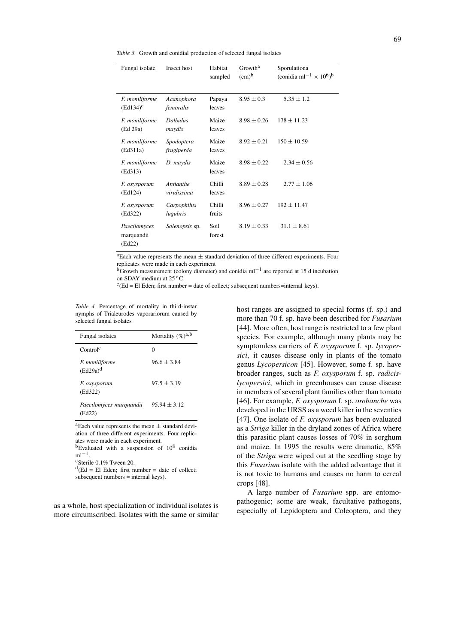*Table 3.* Growth and conidial production of selected fungal isolates

| Fungal isolate                       | Insect host               | Habitat<br>sampled | Growth <sup>a</sup><br>(cm) <sup>b</sup> | Sporulationa<br>(conidia ml <sup>-1</sup> $\times$ 10 <sup>6</sup> ) <sup>b</sup> |
|--------------------------------------|---------------------------|--------------------|------------------------------------------|-----------------------------------------------------------------------------------|
| F. moniliforme<br>$(Ed134)^c$        | Acanophora<br>femoralis   | Papaya<br>leaves   | $8.95 \pm 0.3$                           | $5.35 \pm 1.2$                                                                    |
| F. moniliforme<br>(Ed 29a)           | <b>Dalbulus</b><br>maydis | Maize<br>leaves    | $8.98 \pm 0.26$                          | $178 + 11.23$                                                                     |
| F. moniliforme<br>(Ed311a)           | Spodoptera<br>frugiperda  | Maize<br>leaves    | $8.92 \pm 0.21$                          | $150 \pm 10.59$                                                                   |
| F. moniliforme<br>(Ed313)            | D. maydis                 | Maize<br>leaves    | $8.98 \pm 0.22$                          | $2.34 \pm 0.56$                                                                   |
| F. oxysporum<br>(Ed124)              | Antianthe<br>viridissima  | Chilli<br>leaves   | $8.89 \pm 0.28$                          | $2.77 \pm 1.06$                                                                   |
| F. oxysporum<br>(Ed322)              | Carpophilus<br>lugubris   | Chilli<br>fruits   | $8.96 \pm 0.27$                          | $192 + 11.47$                                                                     |
| Paecilomyces<br>marquandii<br>(Ed22) | Solenopsis sp.            | Soil<br>forest     | $8.19 \pm 0.33$                          | $31.1 \pm 8.61$                                                                   |

<sup>a</sup>Each value represents the mean  $\pm$  standard deviation of three different experiments. Four replicates were made in each experiment

bGrowth measurement (colony diameter) and conidia ml−<sup>1</sup> are reported at 15 d incubation on SDAY medium at 25 °C.<br><sup>c</sup>(Ed = El Eden; first number = date of collect; subsequent numbers=internal keys).

*Table 4.* Percentage of mortality in third-instar nymphs of Trialeurodes vaporariorum caused by selected fungal isolates

| Fungal isolates                      | Mortality $(\%)^{a,b}$ |
|--------------------------------------|------------------------|
| Control <sup>c</sup>                 |                        |
| <i>F. moniliforme</i><br>$(Ed29a)^d$ | $96.6 \pm 3.84$        |
| F. oxysporum<br>(Ed322)              | $97.5 \pm 3.19$        |
| Paecilomyces marquandii<br>(Ed22)    | $95.94 + 3.12$         |

<sup>a</sup>Each value represents the mean  $\pm$  standard deviation of three different experiments. Four replicates were made in each experiment.

<sup>b</sup>Evaluated with a suspension of  $10^8$  conidia ml<sup>-1</sup>.

<sup>c</sup>Sterile 0.1% Tween 20.

 $d$ (Ed = El Eden; first number = date of collect;  $subsequent numbers = internal keys)$ .

as a whole, host specialization of individual isolates is more circumscribed. Isolates with the same or similar host ranges are assigned to special forms (f. sp.) and more than 70 f. sp. have been described for *Fusarium* [44]. More often, host range is restricted to a few plant species. For example, although many plants may be symptomless carriers of *F. oxysporum* f. sp. *lycopersici*, it causes disease only in plants of the tomato genus *Lycopersicon* [45]. However, some f. sp. have broader ranges, such as *F. oxysporum* f. sp. *radicislycopersici*, which in greenhouses can cause disease in members of several plant families other than tomato [46]. For example, *F. oxysporum* f. sp. *orobanche* was developed in the URSS as a weed killer in the seventies [47]. One isolate of *F. oxysporum* has been evaluated as a *Striga* killer in the dryland zones of Africa where this parasitic plant causes losses of 70% in sorghum and maize. In 1995 the results were dramatic, 85% of the *Striga* were wiped out at the seedling stage by this *Fusarium* isolate with the added advantage that it is not toxic to humans and causes no harm to cereal crops [48].

A large number of *Fusarium* spp. are entomopathogenic; some are weak, facultative pathogens, especially of Lepidoptera and Coleoptera, and they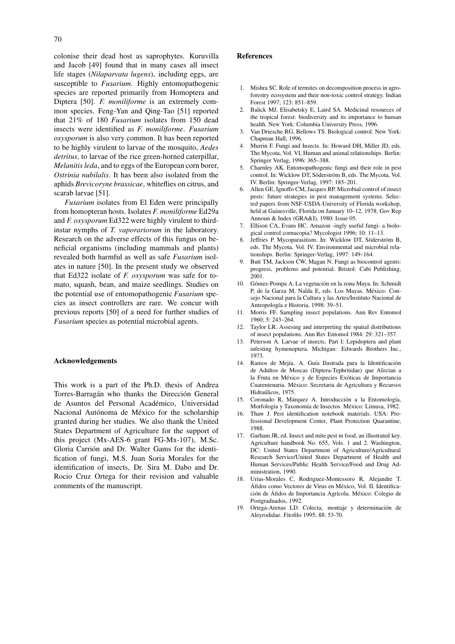colonise their dead host as saprophytes. Kuruvilla and Jacob [49] found that in many cases all insect life stages (*Nilaparvata lugens*), including eggs, are susceptible to *Fusarium*. Highly entomopathogenic species are reported primarily from Homoptera and Diptera [50]. *F. moniliforme* is an extremely common species. Feng-Yan and Qing-Tao [51] reported that 21% of 180 *Fusarium* isolates from 150 dead insects were identified as *F. moniliforme*. *Fusarium oxysporum* is also very common. It has been reported to be highly virulent to larvae of the mosquito, *Aedes detritus*, to larvae of the rice green-horned caterpillar, *Melanitis leda*, and to eggs of the European corn borer, *Ostrinia nubilalis*. It has been also isolated from the aphids *Brevicoryne brassicae*, whiteflies on citrus, and scarab larvae [51].

*Fusarium* isolates from El Eden were principally from homopteran hosts. Isolates *F. moniliforme* Ed29a and *F. oxysporum* Ed322 were highly virulent to thirdinstar nymphs of *T. vaporariorum* in the laboratory. Research on the adverse effects of this fungus on beneficial organisms (including mammals and plants) revealed both harmful as well as safe *Fusarium* isolates in nature [50]. In the present study we observed that Ed322 isolate of *F. oxysporum* was safe for tomato, squash, bean, and maize seedlings. Studies on the potential use of entomopathogenic *Fusarium* species as insect controllers are rare. We concur with previous reports [50] of a need for further studies of *Fusarium* species as potential microbial agents.

#### **Acknowledgements**

This work is a part of the Ph.D. thesis of Andrea Torres-Barragán who thanks the Dirección General de Asuntos del Personal Académico, Universidad Nacional Autónoma de México for the scholarship granted during her studies. We also thank the United States Department of Agriculture for the support of this project (Mx-AES-6 grant FG-Mx-107), M.Sc. Gloria Carrión and Dr. Walter Gams for the identification of fungi, M.S. Juan Soria Morales for the identification of insects, Dr. Sira M. Dabo and Dr. Rocio Cruz Ortega for their revision and valuable comments of the manuscript.

### **References**

- 1. Mishra SC. Role of termites on decomposition process in agroforestry ecosystem and their non-toxic control strategy. Indian Forest 1997; 123: 851–859.
- 2. Balick MJ, Elisabetsky E, Laird SA. Medicinal resources of the tropical forest: biodiversity and its importance to human health. New York: Columbia University Press, 1996.
- 3. Van Driesche RG, Bellows TS. Biological control. New York: Chapman Hall, 1996.
- 4. Murrin F. Fungi and Insects. In: Howard DH, Miller JD, eds. The Mycota, Vol. VI, Human and animal relationships. Berlin: Springer Verlag, 1996: 365–388.
- 5. Charnley AK. Entomopathogenic fungi and their role in pest control. In: Wicklow DT, Söderström B, eds. The Mycota, Vol. IV. Berlin: Springer-Verlag, 1997: 185–201.
- 6. Allen GE, Ignoffo CM, Jacques RP. Microbial control of insect pests: future strategies in pest management systems. Selected papers from NSF-USDA-University of Florida workshop, held at Gainesville, Florida on January 10–12, 1978. Gov Rep Announ & Index (GRA&I), 1980: Issue 05.
- 7. Ellison CA, Evans HC. Amazon -ingly useful fungi- a biological control cornucopia? Mycologist 1996; 10: 11–13.
- 8. Jeffries P. Mycoparasitism. In: Wicklow DT, Söderström B, eds. The Mycota, Vol. IV. Environmental and microbial relationships. Berlin: Springer-Verlag, 1997: 149–164.
- Butt TM, Jackson CW, Magan N. Fungi as biocontrol agents: progress, problems and potential. Bristol: Cabi Publishing, 2001.
- 10. Gómez-Pompa A. La vegetación en la zona Maya. In: Schmidt P, de la Garza M, Nalda E, eds. Los Mayas. México: Consejo Nacional para la Cultura y las Artes/Instituto Nacional de Antropología e Historia, 1998: 39–51.
- 11. Morris FF. Sampling insect populations. Ann Rev Entomol 1960; 5: 243–264.
- 12. Taylor LR. Assesing and interpreting the spatial distributions of insect populations. Ann Rev Entomol 1984: 29: 321–357.
- 13. Peterson A. Larvae of insects, Part I: Lepidoptera and plant infesting hymenoptera. Michigan: Edwards Brothers Inc., 1973.
- 14. Ramos de Mejía, A. Guía Ilustrada para la Identificación de Adultos de Moscas (Diptera-Tephritidae) que Afectan a la Fruta en México y de Especies Exóticas de Importancia Cuarentenaria. México: Secretaria de Agricultura y Recursos Hidraúlicos, 1975.
- 15. Coronado R, Márquez A. Introducción a la Entomología, Morfología y Taxonomía de Insectos. México: Limusa, 1982.
- 16. Thaw J. Pest identification notebook materials. USA: Professional Development Center, Plant Protection Quarantine, 1988.
- 17. Garham JR, ed. Insect and mite pest in food, an illustrated key. Agriculture handbook No. 655, Vols. 1 and 2. Washington, DC: United States Department of Agriculture/Agricultural Research Service/United States Department of Health and Human Services/Public Health Service/Food and Drug Administration, 1990.
- 18. Urias-Morales C, Rodriguez-Montessoro R, Alejandre T. Áfidos como Vectores de Virus en México, Vol. II. Identificación de Áfidos de Importancia Agrícola. México: Colegio de Postgraduados, 1992.
- 19. Ortega-Arenas LD. Colecta, montaje y determinación de Aleyrodidae. Fitofilo 1995; 88: 53-70.